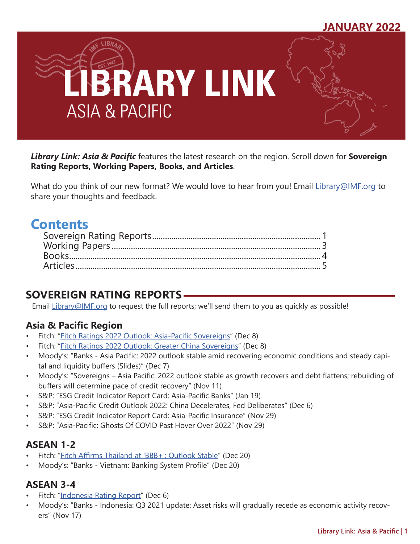

*Library Link: Asia & Pacific* features the latest research on the region. Scroll down for **Sovereign Rating Reports, Working Papers, Books, and Articles**.

What do you think of our new format? We would love to hear from you! Email [Library@IMF.org](mailto:Library%40IMF.org?subject=) to share your thoughts and feedback.

# **Contents**

## **SOVEREIGN RATING REPORTS**

Email [Library@IMF.org](mailto:Library%40IMF.org?subject=) to request the full reports; we'll send them to you as quickly as possible!

## **Asia & Pacific Region**

- Fitch: "[Fitch Ratings 2022 Outlook: Asia-Pacific Sovereigns](http://t.imfconnect.imf.org/r/?id=h646b21,31e4e40,32109d6)" (Dec 8)
- Fitch: "[Fitch Ratings 2022 Outlook: Greater China Sovereigns](http://t.imfconnect.imf.org/r/?id=h646b21,31e4e40,32109d7)" (Dec 8)
- Moody's: "Banks Asia Pacific: 2022 outlook stable amid recovering economic conditions and steady capital and liquidity buffers (Slides)" (Dec 7)
- Moody's: "Sovereigns Asia Pacific: 2022 outlook stable as growth recovers and debt flattens; rebuilding of buffers will determine pace of credit recovery" (Nov 11)
- S&P: "ESG Credit Indicator Report Card: Asia-Pacific Banks" (Jan 19)
- S&P: "Asia-Pacific Credit Outlook 2022: China Decelerates, Fed Deliberates" (Dec 6)
- S&P: "ESG Credit Indicator Report Card: Asia-Pacific Insurance" (Nov 29)
- S&P: "Asia-Pacific: Ghosts Of COVID Past Hover Over 2022" (Nov 29)

## **ASEAN 1-2**

- Fitch: "[Fitch Affirms Thailand at 'BBB+'; Outlook Stable](http://t.imfconnect.imf.org/r/?id=h646b21,31e4e40,32109d8)" (Dec 20)
- Moody's: "Banks Vietnam: Banking System Profile" (Dec 20)

## **ASEAN 3-4**

- Fitch: ["Indonesia Rating Report](http://t.imfconnect.imf.org/r/?id=h646b21,31e4e40,32109d9)" (Dec 6)
- Moody's: "Banks Indonesia: Q3 2021 update: Asset risks will gradually recede as economic activity recovers" (Nov 17)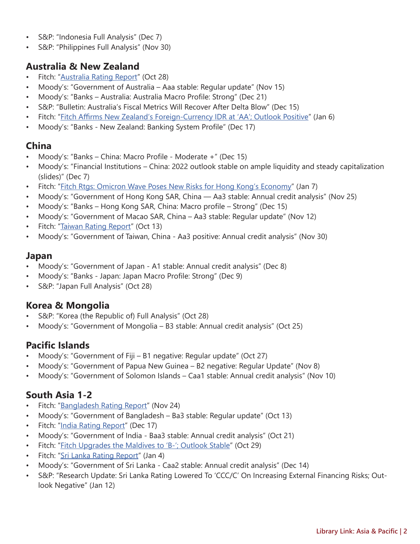- S&P: "Indonesia Full Analysis" (Dec 7)
- S&P: "Philippines Full Analysis" (Nov 30)

## **Australia & New Zealand**

- Fitch: ["Australia Rating Report](http://t.imfconnect.imf.org/r/?id=h646b21,31e4e40,32109da)" (Oct 28)
- Moody's: "Government of Australia Aaa stable: Regular update" (Nov 15)
- Moody's: "Banks Australia: Australia Macro Profile: Strong" (Dec 21)
- S&P: "Bulletin: Australia's Fiscal Metrics Will Recover After Delta Blow" (Dec 15)
- Fitch: "[Fitch Affirms New Zealand's Foreign-Currency IDR at 'AA'; Outlook Positive"](http://t.imfconnect.imf.org/r/?id=h646b21,31e4e40,32109db) (Jan 6)
- Moody's: "Banks New Zealand: Banking System Profile" (Dec 17)

## **China**

- Moody's: "Banks China: Macro Profile Moderate +" (Dec 15)
- Moody's: "Financial Institutions China: 2022 outlook stable on ample liquidity and steady capitalization (slides)" (Dec 7)
- Fitch: "[Fitch Rtgs: Omicron Wave Poses New Risks for Hong Kong's Economy"](http://t.imfconnect.imf.org/r/?id=h646b21,31e4e40,3211e40) (Jan 7)
- Moody's: "Government of Hong Kong SAR, China Aa3 stable: Annual credit analysis" (Nov 25)
- Moody's: "Banks Hong Kong SAR, China: Macro profile Strong" (Dec 15)
- Moody's: "Government of Macao SAR, China Aa3 stable: Regular update" (Nov 12)
- Fitch: "[Taiwan Rating Report"](http://t.imfconnect.imf.org/r/?id=h646b21,31e4e40,3211e41) (Oct 13)
- Moody's: "Government of Taiwan, China Aa3 positive: Annual credit analysis" (Nov 30)

### **Japan**

- Moody's: "Government of Japan A1 stable: Annual credit analysis" (Dec 8)
- Moody's: "Banks Japan: Japan Macro Profile: Strong" (Dec 9)
- S&P: "Japan Full Analysis" (Oct 28)

### **Korea & Mongolia**

- S&P: "Korea (the Republic of) Full Analysis" (Oct 28)
- Moody's: "Government of Mongolia B3 stable: Annual credit analysis" (Oct 25)

## **Pacific Islands**

- Moody's: "Government of Fiji B1 negative: Regular update" (Oct 27)
- Moody's: "Government of Papua New Guinea B2 negative: Regular Update" (Nov 8)
- Moody's: "Government of Solomon Islands Caa1 stable: Annual credit analysis" (Nov 10)

## **South Asia 1-2**

- Fitch: ["Bangladesh Rating Report](http://t.imfconnect.imf.org/r/?id=h646b21,31e4e40,3211e42)" (Nov 24)
- Moody's: "Government of Bangladesh Ba3 stable: Regular update" (Oct 13)
- Fitch: ["India Rating Report](http://t.imfconnect.imf.org/r/?id=h646b21,31e4e40,3211e43)" (Dec 17)
- Moody's: "Government of India Baa3 stable: Annual credit analysis" (Oct 21)
- Fitch: "[Fitch Upgrades the Maldives to 'B-'; Outlook Stable](http://t.imfconnect.imf.org/r/?id=h646b21,31e4e40,3211e44)" (Oct 29)
- Fitch: "[Sri Lanka Rating Report"](http://t.imfconnect.imf.org/r/?id=h646b21,31e4e40,3211e45) (Jan 4)
- Moody's: "Government of Sri Lanka Caa2 stable: Annual credit analysis" (Dec 14)
- S&P: "Research Update: Sri Lanka Rating Lowered To 'CCC/C' On Increasing External Financing Risks; Outlook Negative" (Jan 12)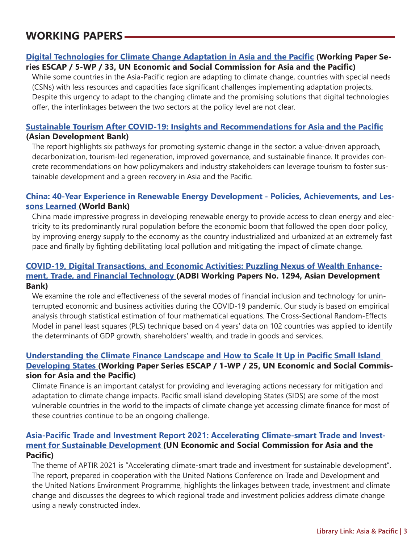## <span id="page-2-0"></span>**WORKING PAPERS**

#### **[Digital Technologies for Climate Change Adaptation in Asia and the Pacific](http://t.imfconnect.imf.org/r/?id=h646b21,31e4e40,3211e46) (Working Paper Series ESCAP / 5-WP / 33, UN Economic and Social Commission for Asia and the Pacific)**

While some countries in the Asia-Pacific region are adapting to climate change, countries with special needs (CSNs) with less resources and capacities face significant challenges implementing adaptation projects. Despite this urgency to adapt to the changing climate and the promising solutions that digital technologies offer, the interlinkages between the two sectors at the policy level are not clear.

#### **[Sustainable Tourism After COVID-19: Insights and Recommendations for Asia and the Pacific](http://t.imfconnect.imf.org/r/?id=h646b21,31e4e40,3211e47) (Asian Development Bank)**

The report highlights six pathways for promoting systemic change in the sector: a value-driven approach, decarbonization, tourism-led regeneration, improved governance, and sustainable finance. It provides concrete recommendations on how policymakers and industry stakeholders can leverage tourism to foster sustainable development and a green recovery in Asia and the Pacific.

#### **[China: 40-Year Experience in Renewable Energy Development - Policies, Achievements, and Les](http://t.imfconnect.imf.org/r/?id=h646b21,31e4e40,3211e48)[sons Learned](http://t.imfconnect.imf.org/r/?id=h646b21,31e4e40,3211e48) (World Bank)**

China made impressive progress in developing renewable energy to provide access to clean energy and electricity to its predominantly rural population before the economic boom that followed the open door policy, by improving energy supply to the economy as the country industrialized and urbanized at an extremely fast pace and finally by fighting debilitating local pollution and mitigating the impact of climate change.

#### **[COVID-19, Digital Transactions, and Economic Activities: Puzzling Nexus of Wealth Enhance](http://t.imfconnect.imf.org/r/?id=h646b21,31e4e40,3211e49)[ment, Trade, and Financial Technology](http://t.imfconnect.imf.org/r/?id=h646b21,31e4e40,3211e49) (ADBI Working Papers No. 1294, Asian Development Bank)**

We examine the role and effectiveness of the several modes of financial inclusion and technology for uninterrupted economic and business activities during the COVID-19 pandemic. Our study is based on empirical analysis through statistical estimation of four mathematical equations. The Cross-Sectional Random-Effects Model in panel least squares (PLS) technique based on 4 years' data on 102 countries was applied to identify the determinants of GDP growth, shareholders' wealth, and trade in goods and services.

#### **[Understanding the Climate Finance Landscape and How to Scale It Up in Pacific Small Island](http://t.imfconnect.imf.org/r/?id=h646b21,31e4e40,3211e4a)  [Developing States](http://t.imfconnect.imf.org/r/?id=h646b21,31e4e40,3211e4a) (Working Paper Series ESCAP / 1-WP / 25, UN Economic and Social Commission for Asia and the Pacific)**

Climate Finance is an important catalyst for providing and leveraging actions necessary for mitigation and adaptation to climate change impacts. Pacific small island developing States (SIDS) are some of the most vulnerable countries in the world to the impacts of climate change yet accessing climate finance for most of these countries continue to be an ongoing challenge.

#### **[Asia-Pacific Trade and Investment Report 2021: Accelerating Climate-smart Trade and Invest](http://t.imfconnect.imf.org/r/?id=h646b21,31e4e40,3211e4b)[ment for Sustainable Development](http://t.imfconnect.imf.org/r/?id=h646b21,31e4e40,3211e4b) (UN Economic and Social Commission for Asia and the Pacific)**

The theme of APTIR 2021 is "Accelerating climate-smart trade and investment for sustainable development". The report, prepared in cooperation with the United Nations Conference on Trade and Development and the United Nations Environment Programme, highlights the linkages between trade, investment and climate change and discusses the degrees to which regional trade and investment policies address climate change using a newly constructed index.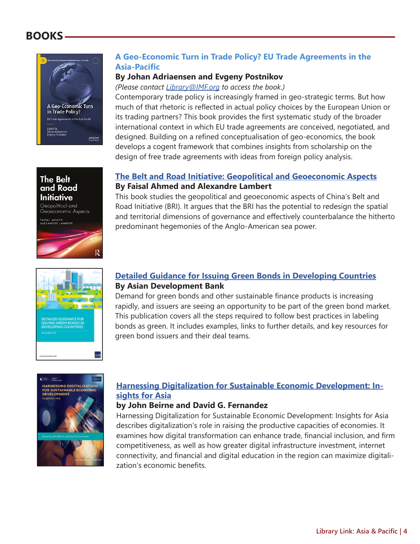## <span id="page-3-0"></span>**BOOKS**



Geopolitical and Geoeconomic Aspects FAISAL AHMED<br>ALEXANDRE LAMBERT

#### **A Geo-Economic Turn in Trade Policy? EU Trade Agreements in the Asia-Pacific**

#### **By Johan Adriaensen and Evgeny Postnikov**

*(Please contact [Library@IMF.org](mailto:Library%40IMF.org?subject=) to access the book.)* 

Contemporary trade policy is increasingly framed in geo-strategic terms. But how much of that rhetoric is reflected in actual policy choices by the European Union or its trading partners? This book provides the first systematic study of the broader international context in which EU trade agreements are conceived, negotiated, and designed. Building on a refined conceptualisation of geo-economics, the book develops a cogent framework that combines insights from scholarship on the design of free trade agreements with ideas from foreign policy analysis.

#### **[The Belt and Road Initiative: Geopolitical and Geoeconomic Aspects](http://t.imfconnect.imf.org/r/?id=h646b21,31e4e40,3211e4c) By Faisal Ahmed and Alexandre Lambert**

This book studies the geopolitical and geoeconomic aspects of China's Belt and Road Initiative (BRI). It argues that the BRI has the potential to redesign the spatial and territorial dimensions of governance and effectively counterbalance the hitherto predominant hegemonies of the Anglo-American sea power.

#### **[Detailed Guidance for Issuing Green Bonds in Developing Countries](http://t.imfconnect.imf.org/r/?id=h646b21,31e4e40,3211e4d) By Asian Development Bank**

Demand for green bonds and other sustainable finance products is increasing rapidly, and issuers are seeing an opportunity to be part of the green bond market. This publication covers all the steps required to follow best practices in labeling bonds as green. It includes examples, links to further details, and key resources for green bond issuers and their deal teams.



ADS

:<br>TAILED GUIDANCE FO<br>SUING GREEN BONDS II<br>:VELOPING COUNTRIE!

#### **[Harnessing Digitalization for Sustainable Economic Development: In](http://t.imfconnect.imf.org/r/?id=h646b21,31e4e40,3211e4e)[sights for Asia](http://t.imfconnect.imf.org/r/?id=h646b21,31e4e40,3211e4e)**

#### **by John Beirne and David G. Fernandez**

Harnessing Digitalization for Sustainable Economic Development: Insights for Asia describes digitalization's role in raising the productive capacities of economies. It examines how digital transformation can enhance trade, financial inclusion, and firm competitiveness, as well as how greater digital infrastructure investment, internet connectivity, and financial and digital education in the region can maximize digitalization's economic benefits.

#### **The Belt** and Road Initiative